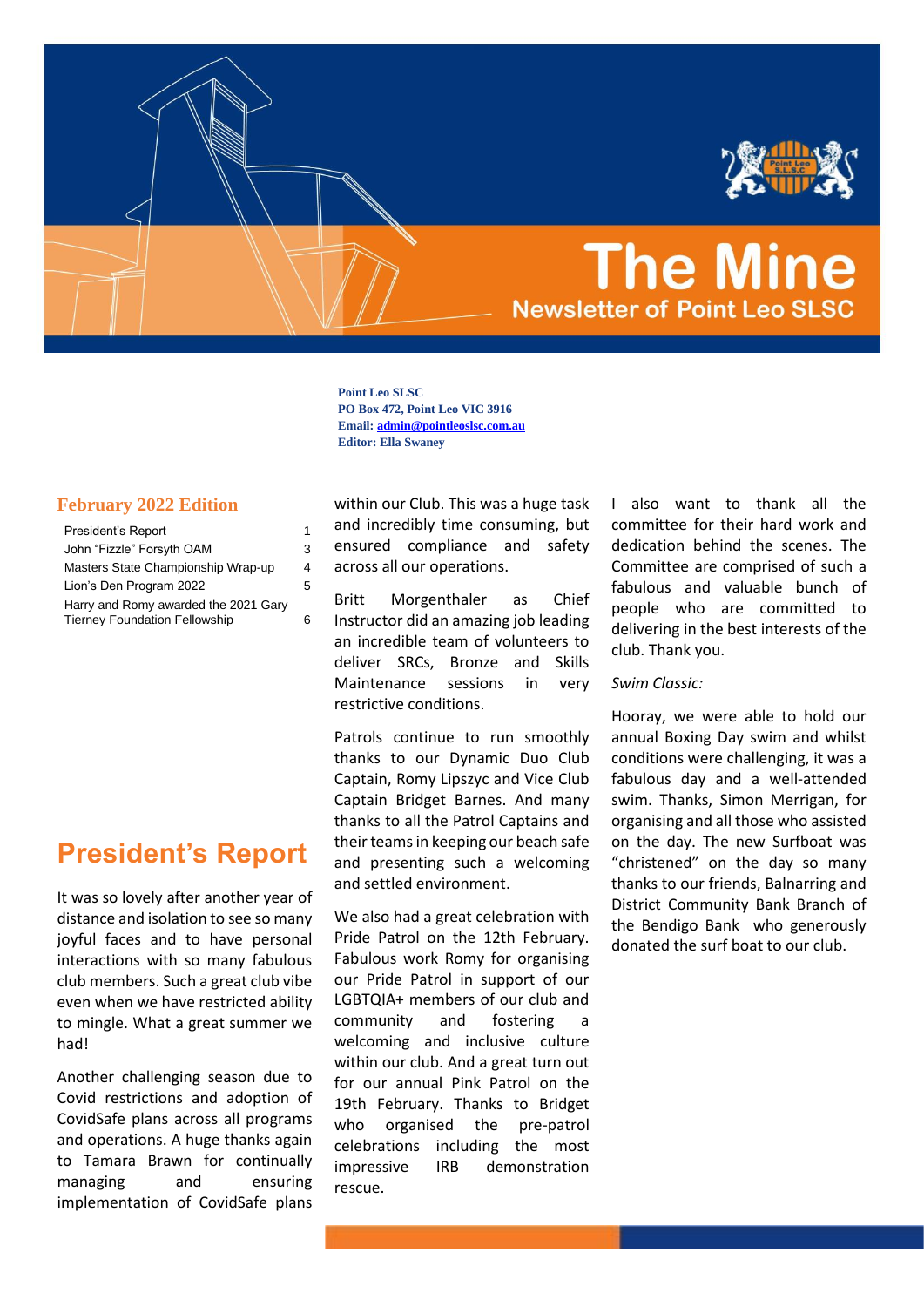

# **The Mine Newsletter of Point Leo SLSC**

**Point Leo SLSC PO Box 472, Point Leo VIC 3916 Email[: admin@pointleoslsc.com.au](mailto:admin@pointleoslsc.com.au) Editor: Ella Swaney**

# **February 2022 Edition**

| President's Report                                                           | 1  |
|------------------------------------------------------------------------------|----|
| John "Fizzle" Forsyth OAM                                                    | 3  |
| Masters State Championship Wrap-up                                           | 4  |
| Lion's Den Program 2022                                                      | 5  |
| Harry and Romy awarded the 2021 Gary<br><b>Tierney Foundation Fellowship</b> | ่ค |

# <span id="page-0-0"></span>**President's Report**

It was so lovely after another year of distance and isolation to see so many joyful faces and to have personal interactions with so many fabulous club members. Such a great club vibe even when we have restricted ability to mingle. What a great summer we had!

Another challenging season due to Covid restrictions and adoption of CovidSafe plans across all programs and operations. A huge thanks again to Tamara Brawn for continually managing and ensuring implementation of CovidSafe plans

within our Club. This was a huge task and incredibly time consuming, but ensured compliance and safety across all our operations.

Britt Morgenthaler as Chief Instructor did an amazing job leading an incredible team of volunteers to deliver SRCs, Bronze and Skills Maintenance sessions in very restrictive conditions.

Patrols continue to run smoothly thanks to our Dynamic Duo Club Captain, Romy Lipszyc and Vice Club Captain Bridget Barnes. And many thanks to all the Patrol Captains and their teams in keeping our beach safe and presenting such a welcoming and settled environment.

We also had a great celebration with Pride Patrol on the 12th February. Fabulous work Romy for organising our Pride Patrol in support of our LGBTQIA+ members of our club and community and fostering a welcoming and inclusive culture within our club. And a great turn out for our annual Pink Patrol on the 19th February. Thanks to Bridget who organised the pre-patrol celebrations including the most impressive IRB demonstration rescue.

I also want to thank all the committee for their hard work and dedication behind the scenes. The Committee are comprised of such a fabulous and valuable bunch of people who are committed to delivering in the best interests of the club. Thank you.

### *Swim Classic:*

Hooray, we were able to hold our annual Boxing Day swim and whilst conditions were challenging, it was a fabulous day and a well-attended swim. Thanks, Simon Merrigan, for organising and all those who assisted on the day. The new Surfboat was "christened" on the day so many thanks to our friends, Balnarring and District Community Bank Branch of the Bendigo Bank who generously donated the surf boat to our club.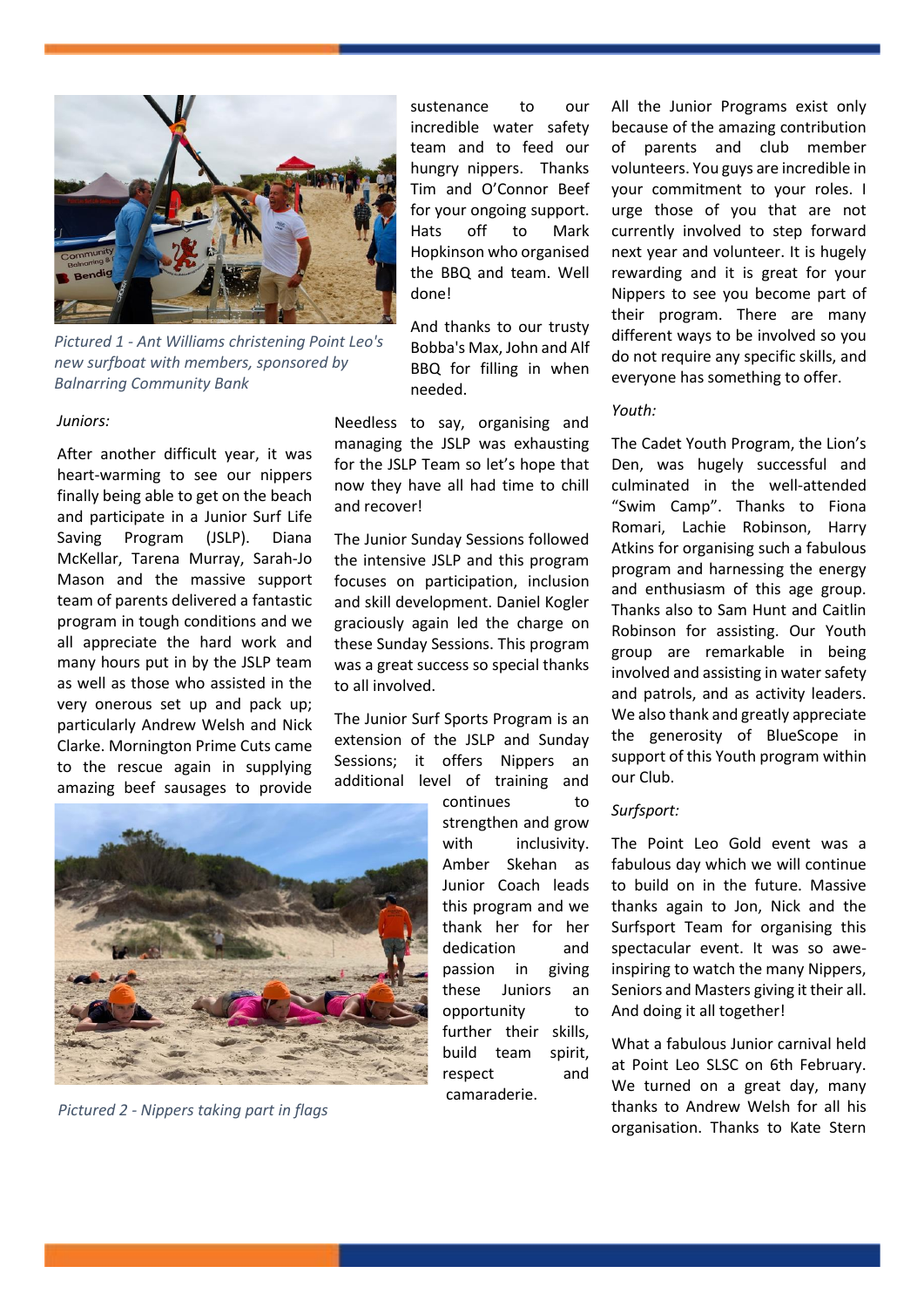

*Pictured 1 - Ant Williams christening Point Leo's new surfboat with members, sponsored by Balnarring Community Bank*

#### *Juniors:*

After another difficult year, it was heart-warming to see our nippers finally being able to get on the beach and participate in a Junior Surf Life Saving Program (JSLP). Diana McKellar, Tarena Murray, Sarah-Jo Mason and the massive support team of parents delivered a fantastic program in tough conditions and we all appreciate the hard work and many hours put in by the JSLP team as well as those who assisted in the very onerous set up and pack up; particularly Andrew Welsh and Nick Clarke. Mornington Prime Cuts came to the rescue again in supplying amazing beef sausages to provide



*Pictured 2 - Nippers taking part in flags* 

sustenance to our incredible water safety team and to feed our hungry nippers. Thanks Tim and O'Connor Beef for your ongoing support. Hats off to Mark Hopkinson who organised the BBQ and team. Well done!

And thanks to our trusty Bobba's Max, John and Alf BBQ for filling in when needed.

Needless to say, organising and managing the JSLP was exhausting for the JSLP Team so let's hope that now they have all had time to chill and recover!

The Junior Sunday Sessions followed the intensive JSLP and this program focuses on participation, inclusion and skill development. Daniel Kogler graciously again led the charge on these Sunday Sessions. This program was a great success so special thanks to all involved.

The Junior Surf Sports Program is an extension of the JSLP and Sunday Sessions; it offers Nippers an additional level of training and

> continues to strengthen and grow with inclusivity. Amber Skehan as Junior Coach leads this program and we thank her for her dedication and passion in giving these Juniors an opportunity to further their skills, build team spirit, respect and camaraderie.

All the Junior Programs exist only because of the amazing contribution of parents and club member volunteers. You guys are incredible in your commitment to your roles. I urge those of you that are not currently involved to step forward next year and volunteer. It is hugely rewarding and it is great for your Nippers to see you become part of their program. There are many different ways to be involved so you do not require any specific skills, and everyone has something to offer.

### *Youth:*

The Cadet Youth Program, the Lion's Den, was hugely successful and culminated in the well-attended "Swim Camp". Thanks to Fiona Romari, Lachie Robinson, Harry Atkins for organising such a fabulous program and harnessing the energy and enthusiasm of this age group. Thanks also to Sam Hunt and Caitlin Robinson for assisting. Our Youth group are remarkable in being involved and assisting in water safety and patrols, and as activity leaders. We also thank and greatly appreciate the generosity of BlueScope in support of this Youth program within our Club.

## *Surfsport:*

The Point Leo Gold event was a fabulous day which we will continue to build on in the future. Massive thanks again to Jon, Nick and the Surfsport Team for organising this spectacular event. It was so aweinspiring to watch the many Nippers, Seniors and Masters giving it their all. And doing it all together!

What a fabulous Junior carnival held at Point Leo SLSC on 6th February. We turned on a great day, many thanks to Andrew Welsh for all his organisation. Thanks to Kate Stern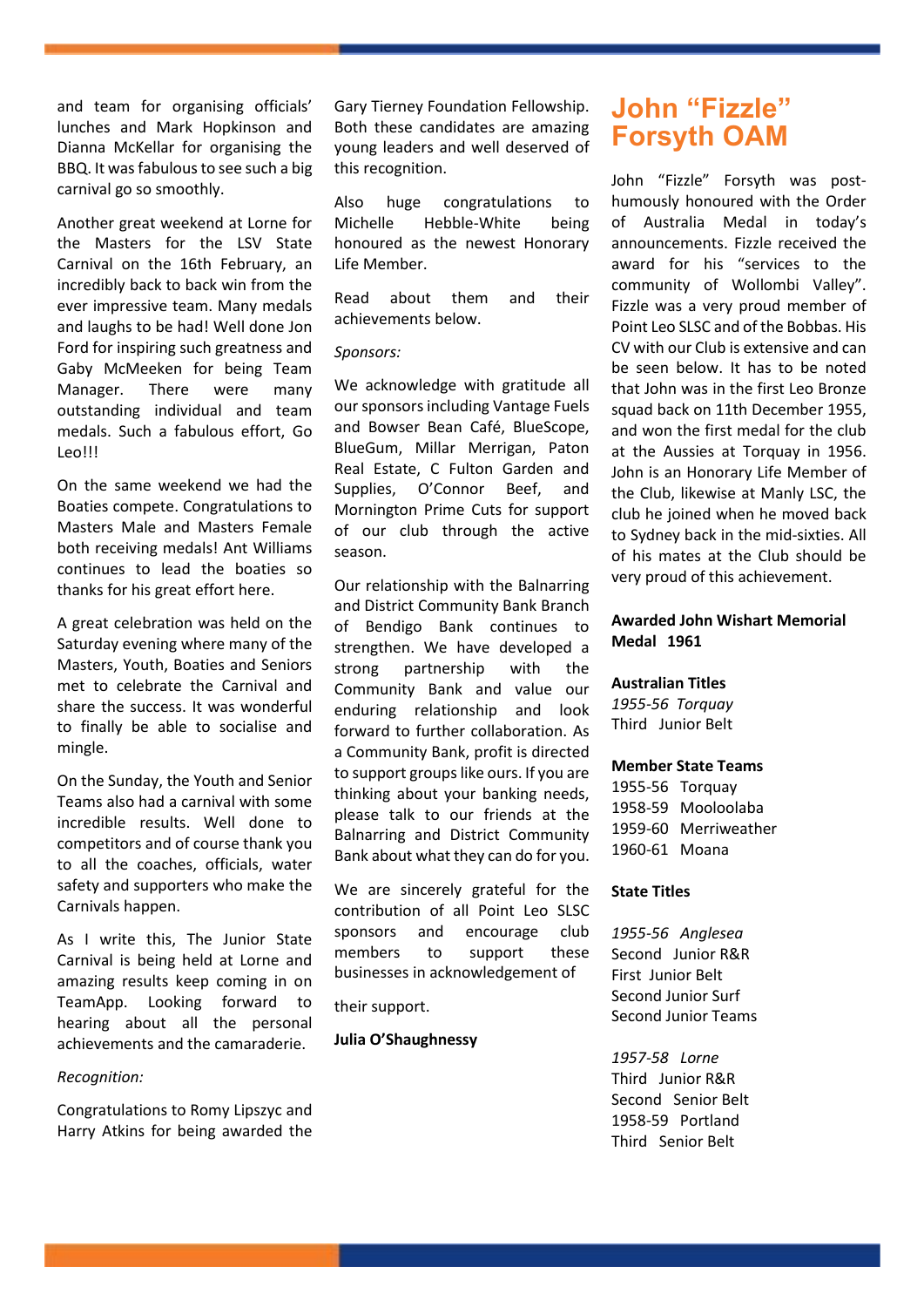and team for organising officials' lunches and Mark Hopkinson and Dianna McKellar for organising the BBQ. It was fabulous to see such a big carnival go so smoothly.

Another great weekend at Lorne for the Masters for the LSV State Carnival on the 16th February, an incredibly back to back win from the ever impressive team. Many medals and laughs to be had! Well done Jon Ford for inspiring such greatness and Gaby McMeeken for being Team Manager. There were many outstanding individual and team medals. Such a fabulous effort, Go Leo!!!

On the same weekend we had the Boaties compete. Congratulations to Masters Male and Masters Female both receiving medals! Ant Williams continues to lead the boaties so thanks for his great effort here.

A great celebration was held on the Saturday evening where many of the Masters, Youth, Boaties and Seniors met to celebrate the Carnival and share the success. It was wonderful to finally be able to socialise and mingle.

On the Sunday, the Youth and Senior Teams also had a carnival with some incredible results. Well done to competitors and of course thank you to all the coaches, officials, water safety and supporters who make the Carnivals happen.

As I write this, The Junior State Carnival is being held at Lorne and amazing results keep coming in on TeamApp. Looking forward to hearing about all the personal achievements and the camaraderie.

### *Recognition:*

Congratulations to Romy Lipszyc and Harry Atkins for being awarded the

Gary Tierney Foundation Fellowship. Both these candidates are amazing young leaders and well deserved of this recognition.

Also huge congratulations to Michelle Hebble-White being honoured as the newest Honorary Life Member.

Read about them and their achievements below.

#### *Sponsors:*

We acknowledge with gratitude all our sponsors including Vantage Fuels and Bowser Bean Café, BlueScope, BlueGum, Millar Merrigan, Paton Real Estate, C Fulton Garden and Supplies, O'Connor Beef, and Mornington Prime Cuts for support of our club through the active season.

Our relationship with the Balnarring and District Community Bank Branch of Bendigo Bank continues to strengthen. We have developed a strong partnership with the Community Bank and value our enduring relationship and look forward to further collaboration. As a Community Bank, profit is directed to support groups like ours. If you are thinking about your banking needs, please talk to our friends at the Balnarring and District Community Bank about what they can do for you.

We are sincerely grateful for the contribution of all Point Leo SLSC sponsors and encourage club members to support these businesses in acknowledgement of

their support.

#### **Julia O'Shaughnessy**

# <span id="page-2-0"></span>**John "Fizzle" Forsyth OAM**

John "Fizzle" Forsyth was posthumously honoured with the Order of Australia Medal in today's announcements. Fizzle received the award for his "services to the community of Wollombi Valley". Fizzle was a very proud member of Point Leo SLSC and of the Bobbas. His CV with our Club is extensive and can be seen below. It has to be noted that John was in the first Leo Bronze squad back on 11th December 1955, and won the first medal for the club at the Aussies at Torquay in 1956. John is an Honorary Life Member of the Club, likewise at Manly LSC, the club he joined when he moved back to Sydney back in the mid-sixties. All of his mates at the Club should be very proud of this achievement.

# **Awarded John Wishart Memorial Medal 1961**

#### **Australian Titles**

*1955-56 Torquay* Third Junior Belt

#### **Member State Teams**

1955-56 Torquay 1958-59 Mooloolaba 1959-60 Merriweather 1960-61 Moana

#### **State Titles**

*1955-56 Anglesea* Second Junior R&R First Junior Belt Second Junior Surf Second Junior Teams

*1957-58 Lorne* Third Junior R&R Second Senior Belt 1958-59 Portland Third Senior Belt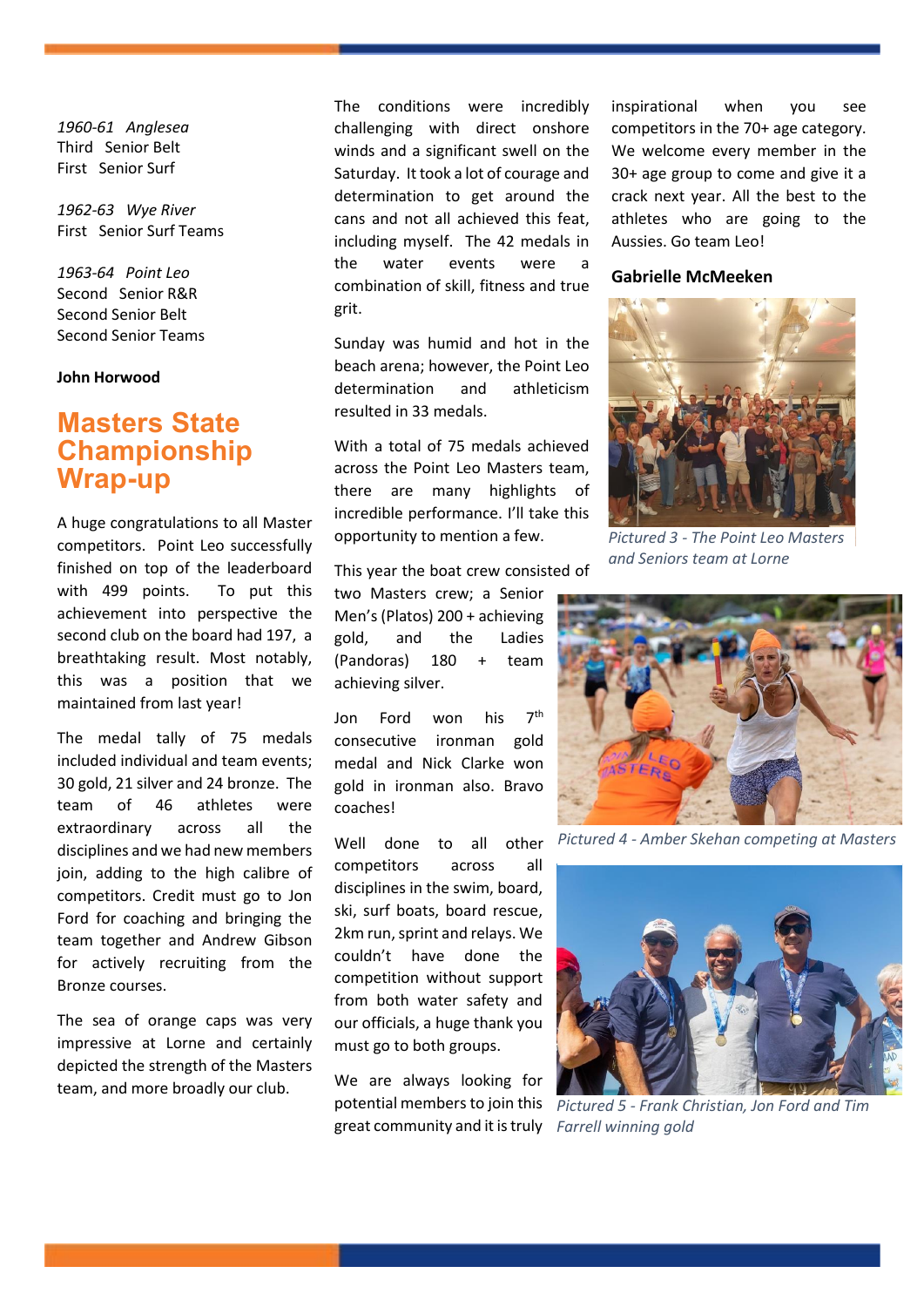*1960-61 Anglesea* Third Senior Belt First Senior Surf

*1962-63 Wye River*  First Senior Surf Teams

*1963-64 Point Leo* Second Senior R&R Second Senior Belt Second Senior Teams

### **John Horwood**

# <span id="page-3-0"></span>**Masters State Championship Wrap-up**

A huge congratulations to all Master competitors. Point Leo successfully finished on top of the leaderboard with 499 points. To put this achievement into perspective the second club on the board had 197, a breathtaking result. Most notably, this was a position that we maintained from last year!

The medal tally of 75 medals included individual and team events; 30 gold, 21 silver and 24 bronze. The team of 46 athletes were extraordinary across all the disciplines and we had new members join, adding to the high calibre of competitors. Credit must go to Jon Ford for coaching and bringing the team together and Andrew Gibson for actively recruiting from the Bronze courses.

The sea of orange caps was very impressive at Lorne and certainly depicted the strength of the Masters team, and more broadly our club.

The conditions were incredibly challenging with direct onshore winds and a significant swell on the Saturday. It took a lot of courage and determination to get around the cans and not all achieved this feat, including myself. The 42 medals in the water events were a combination of skill, fitness and true grit.

Sunday was humid and hot in the beach arena; however, the Point Leo determination and athleticism resulted in 33 medals.

With a total of 75 medals achieved across the Point Leo Masters team, there are many highlights of incredible performance. I'll take this opportunity to mention a few.

This year the boat crew consisted of

two Masters crew; a Senior Men's (Platos) 200 + achieving gold, and the Ladies (Pandoras) 180 + team achieving silver.

Jon Ford won his 7<sup>th</sup> consecutive ironman gold medal and Nick Clarke won gold in ironman also. Bravo coaches!

Well done to all other competitors across all disciplines in the swim, board, ski, surf boats, board rescue, 2km run, sprint and relays. We couldn't have done the competition without support from both water safety and our officials, a huge thank you must go to both groups.

We are always looking for great community and it is truly *Farrell winning gold* 

inspirational when you see competitors in the 70+ age category. We welcome every member in the 30+ age group to come and give it a crack next year. All the best to the athletes who are going to the Aussies. Go team Leo!

#### **Gabrielle McMeeken**



*Pictured 3 - The Point Leo Masters and Seniors team at Lorne*



*Pictured 4 - Amber Skehan competing at Masters*



potential members to join this *Pictured 5 - Frank Christian, Jon Ford and Tim*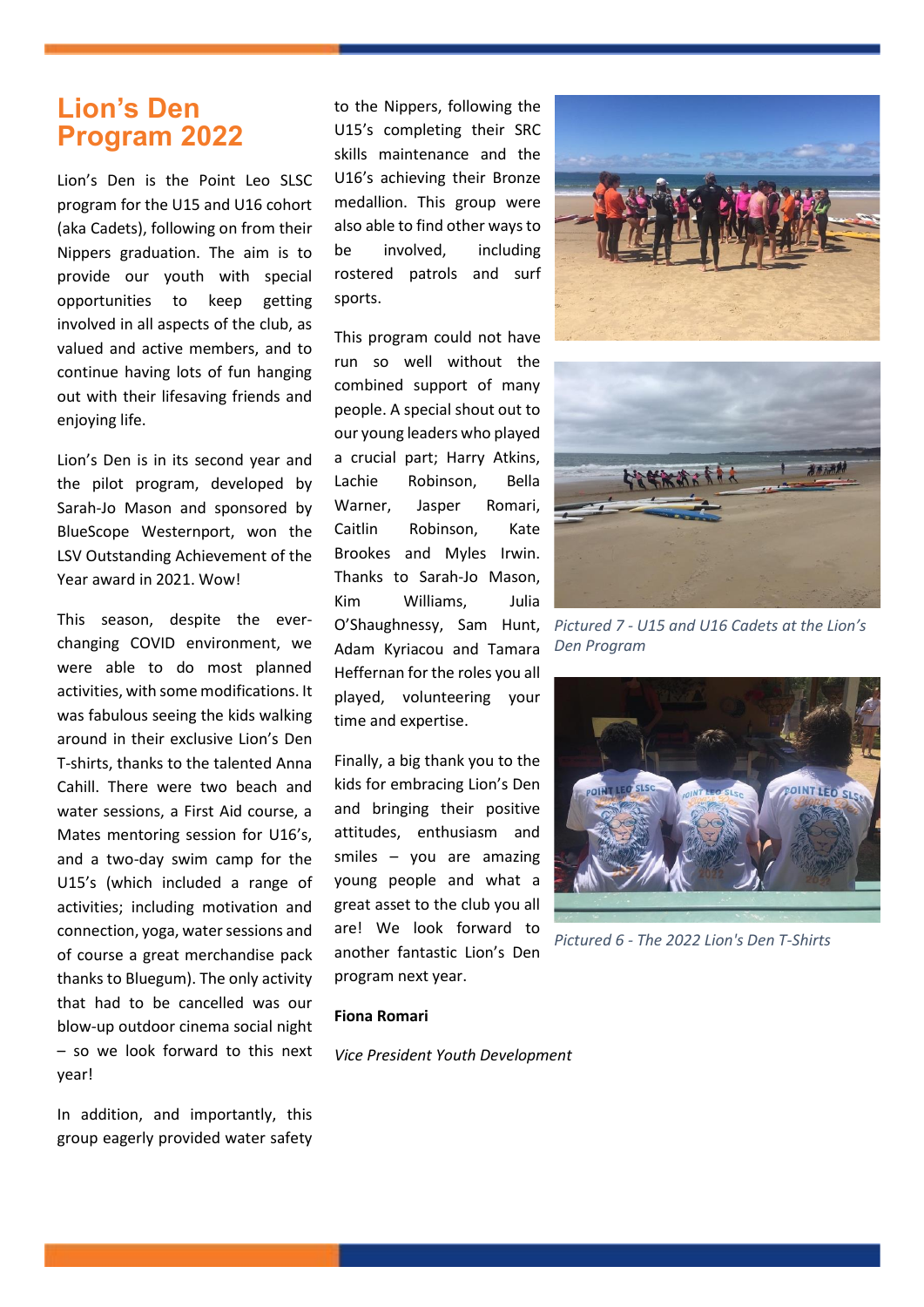# <span id="page-4-0"></span>**Lion's Den Program 2022**

Lion's Den is the Point Leo SLSC program for the U15 and U16 cohort (aka Cadets), following on from their Nippers graduation. The aim is to provide our youth with special opportunities to keep getting involved in all aspects of the club, as valued and active members, and to continue having lots of fun hanging out with their lifesaving friends and enjoying life.

Lion's Den is in its second year and the pilot program, developed by Sarah-Jo Mason and sponsored by BlueScope Westernport, won the LSV Outstanding Achievement of the Year award in 2021. Wow!

This season, despite the everchanging COVID environment, we were able to do most planned activities, with some modifications. It was fabulous seeing the kids walking around in their exclusive Lion's Den T-shirts, thanks to the talented Anna Cahill. There were two beach and water sessions, a First Aid course, a Mates mentoring session for U16's, and a two-day swim camp for the U15's (which included a range of activities; including motivation and connection, yoga, water sessions and of course a great merchandise pack thanks to Bluegum). The only activity that had to be cancelled was our blow-up outdoor cinema social night – so we look forward to this next year!

In addition, and importantly, this group eagerly provided water safety to the Nippers, following the U15's completing their SRC skills maintenance and the U16's achieving their Bronze medallion. This group were also able to find other ways to be involved, including rostered patrols and surf sports.

This program could not have run so well without the combined support of many people. A special shout out to our young leaders who played a crucial part; Harry Atkins, Lachie Robinson, Bella Warner, Jasper Romari, Caitlin Robinson, Kate Brookes and Myles Irwin. Thanks to Sarah-Jo Mason, Kim Williams, Julia O'Shaughnessy, Sam Hunt, Adam Kyriacou and Tamara Heffernan for the roles you all played, volunteering your time and expertise.

Finally, a big thank you to the kids for embracing Lion's Den and bringing their positive attitudes, enthusiasm and smiles – you are amazing young people and what a great asset to the club you all are! We look forward to another fantastic Lion's Den program next year.





*Pictured 7 - U15 and U16 Cadets at the Lion's Den Program*



*Pictured 6 - The 2022 Lion's Den T-Shirts*

#### **Fiona Romari**

*Vice President Youth Development*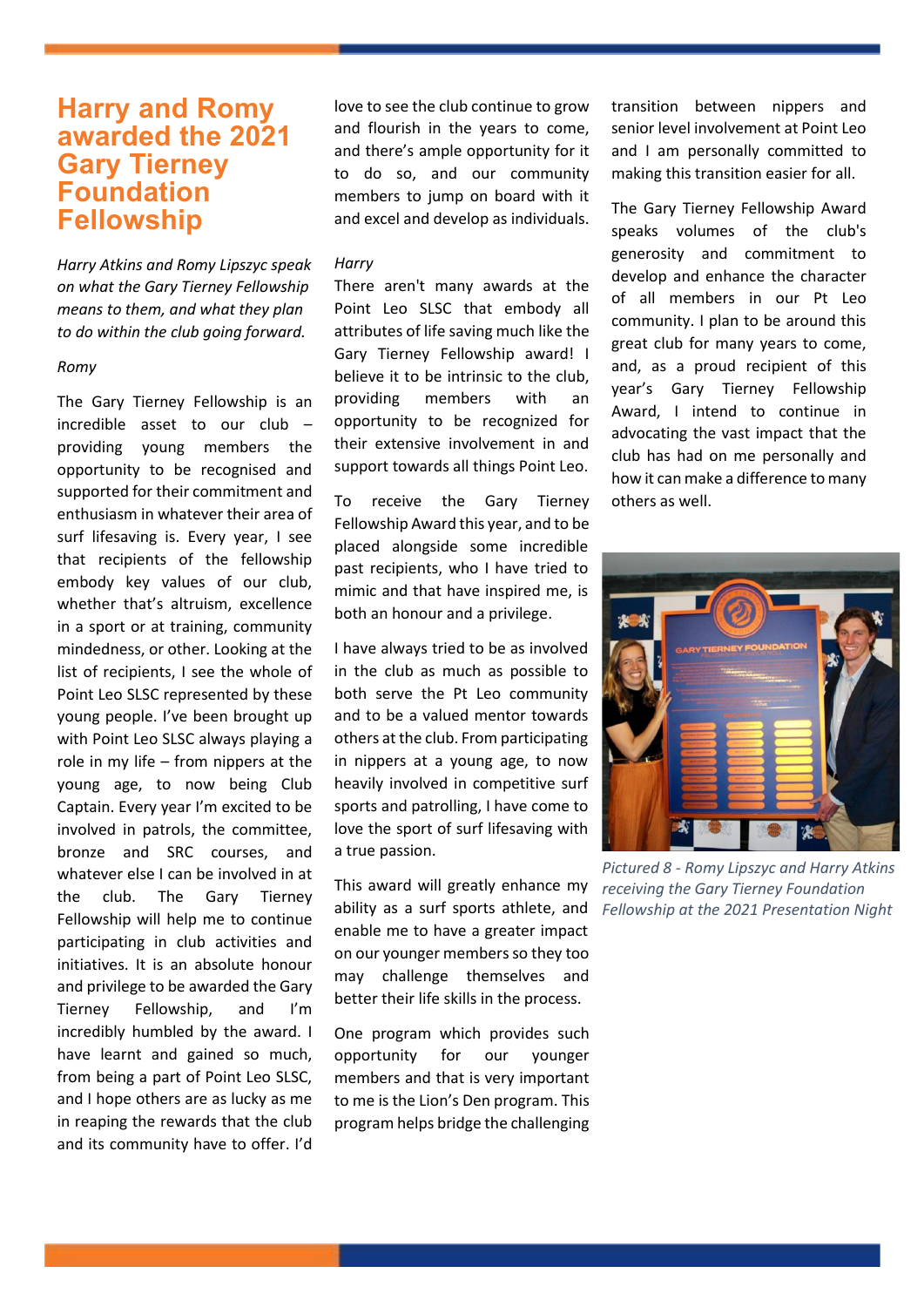# <span id="page-5-0"></span>**Harry and Romy awarded the 2021 Gary Tierney Foundation Fellowship**

*Harry Atkins and Romy Lipszyc speak on what the Gary Tierney Fellowship means to them, and what they plan to do within the club going forward.* 

### *Romy*

The Gary Tierney Fellowship is an incredible asset to our club – providing young members the opportunity to be recognised and supported for their commitment and enthusiasm in whatever their area of surf lifesaving is. Every year, I see that recipients of the fellowship embody key values of our club, whether that's altruism, excellence in a sport or at training, community mindedness, or other. Looking at the list of recipients, I see the whole of Point Leo SLSC represented by these young people. I've been brought up with Point Leo SLSC always playing a role in my life – from nippers at the young age, to now being Club Captain. Every year I'm excited to be involved in patrols, the committee, bronze and SRC courses, and whatever else I can be involved in at the club. The Gary Tierney Fellowship will help me to continue participating in club activities and initiatives. It is an absolute honour and privilege to be awarded the Gary Tierney Fellowship, and I'm incredibly humbled by the award. I have learnt and gained so much, from being a part of Point Leo SLSC, and I hope others are as lucky as me in reaping the rewards that the club and its community have to offer. I'd

love to see the club continue to grow and flourish in the years to come, and there's ample opportunity for it to do so, and our community members to jump on board with it and excel and develop as individuals.

#### *Harry*

There aren't many awards at the Point Leo SLSC that embody all attributes of life saving much like the Gary Tierney Fellowship award! I believe it to be intrinsic to the club, providing members with an opportunity to be recognized for their extensive involvement in and support towards all things Point Leo.

To receive the Gary Tierney Fellowship Award this year, and to be placed alongside some incredible past recipients, who I have tried to mimic and that have inspired me, is both an honour and a privilege.

I have always tried to be as involved in the club as much as possible to both serve the Pt Leo community and to be a valued mentor towards others at the club. From participating in nippers at a young age, to now heavily involved in competitive surf sports and patrolling, I have come to love the sport of surf lifesaving with a true passion.

This award will greatly enhance my ability as a surf sports athlete, and enable me to have a greater impact on our younger members so they too may challenge themselves and better their life skills in the process.

One program which provides such opportunity for our younger members and that is very important to me is the Lion's Den program. This program helps bridge the challenging

transition between nippers and senior level involvement at Point Leo and I am personally committed to making this transition easier for all.

The Gary Tierney Fellowship Award speaks volumes of the club's generosity and commitment to develop and enhance the character of all members in our Pt Leo community. I plan to be around this great club for many years to come, and, as a proud recipient of this year's Gary Tierney Fellowship Award, I intend to continue in advocating the vast impact that the club has had on me personally and how it can make a difference to many others as well.



*Pictured 8 - Romy Lipszyc and Harry Atkins receiving the Gary Tierney Foundation Fellowship at the 2021 Presentation Night*